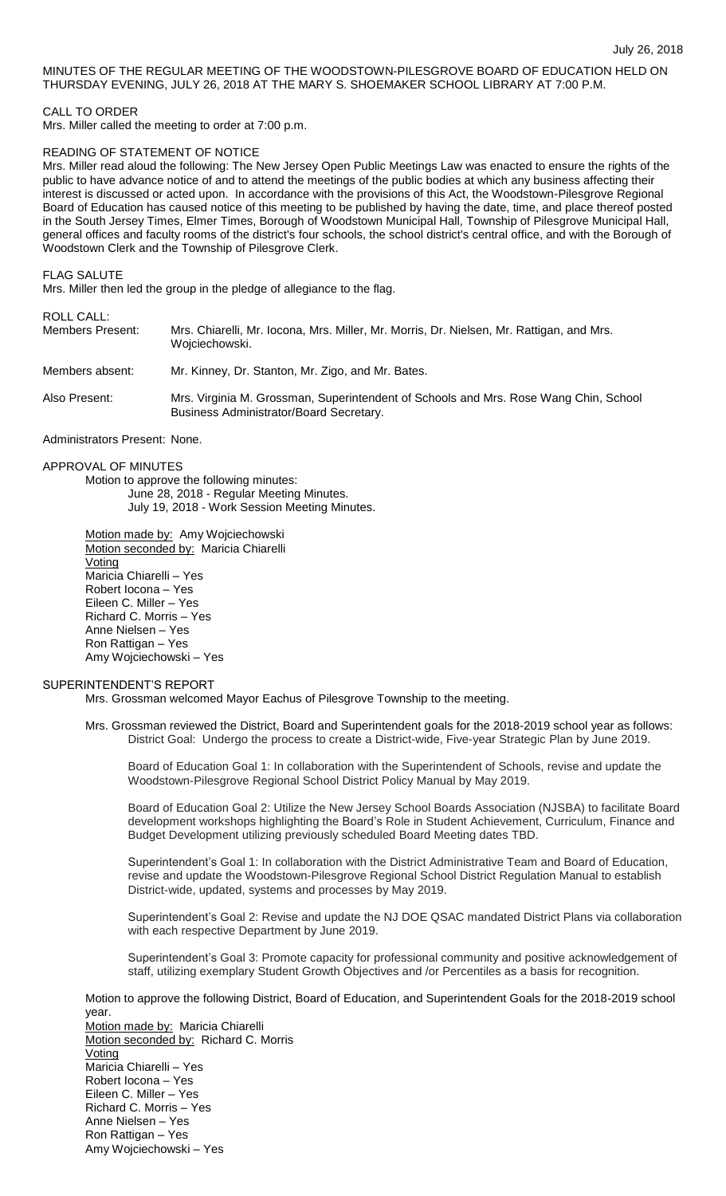## MINUTES OF THE REGULAR MEETING OF THE WOODSTOWN-PILESGROVE BOARD OF EDUCATION HELD ON THURSDAY EVENING, JULY 26, 2018 AT THE MARY S. SHOEMAKER SCHOOL LIBRARY AT 7:00 P.M.

## CALL TO ORDER

Mrs. Miller called the meeting to order at 7:00 p.m.

## READING OF STATEMENT OF NOTICE

Mrs. Miller read aloud the following: The New Jersey Open Public Meetings Law was enacted to ensure the rights of the public to have advance notice of and to attend the meetings of the public bodies at which any business affecting their interest is discussed or acted upon. In accordance with the provisions of this Act, the Woodstown-Pilesgrove Regional Board of Education has caused notice of this meeting to be published by having the date, time, and place thereof posted in the South Jersey Times, Elmer Times, Borough of Woodstown Municipal Hall, Township of Pilesgrove Municipal Hall, general offices and faculty rooms of the district's four schools, the school district's central office, and with the Borough of Woodstown Clerk and the Township of Pilesgrove Clerk.

FLAG SALUTE

Mrs. Miller then led the group in the pledge of allegiance to the flag.

# ROLL CALL:

| Members Present: | Mrs. Chiarelli, Mr. Iocona, Mrs. Miller, Mr. Morris, Dr. Nielsen, Mr. Rattigan, and Mrs.<br>Wojciechowski.                      |
|------------------|---------------------------------------------------------------------------------------------------------------------------------|
| Members absent:  | Mr. Kinney, Dr. Stanton, Mr. Zigo, and Mr. Bates.                                                                               |
| Also Present:    | Mrs. Virginia M. Grossman, Superintendent of Schools and Mrs. Rose Wang Chin, School<br>Business Administrator/Board Secretary. |
|                  |                                                                                                                                 |

Administrators Present: None.

## APPROVAL OF MINUTES

Motion to approve the following minutes: June 28, 2018 - Regular Meeting Minutes. July 19, 2018 - Work Session Meeting Minutes.

Motion made by: Amy Wojciechowski Motion seconded by: Maricia Chiarelli Voting Maricia Chiarelli – Yes Robert Iocona – Yes Eileen C. Miller – Yes Richard C. Morris – Yes Anne Nielsen – Yes Ron Rattigan – Yes Amy Wojciechowski – Yes

## SUPERINTENDENT'S REPORT

Mrs. Grossman welcomed Mayor Eachus of Pilesgrove Township to the meeting.

Board of Education Goal 1: In collaboration with the Superintendent of Schools, revise and update the Woodstown-Pilesgrove Regional School District Policy Manual by May 2019.

Board of Education Goal 2: Utilize the New Jersey School Boards Association (NJSBA) to facilitate Board development workshops highlighting the Board's Role in Student Achievement, Curriculum, Finance and Budget Development utilizing previously scheduled Board Meeting dates TBD.

Superintendent's Goal 1: In collaboration with the District Administrative Team and Board of Education, revise and update the Woodstown-Pilesgrove Regional School District Regulation Manual to establish District-wide, updated, systems and processes by May 2019.

Superintendent's Goal 2: Revise and update the NJ DOE QSAC mandated District Plans via collaboration with each respective Department by June 2019.

Superintendent's Goal 3: Promote capacity for professional community and positive acknowledgement of staff, utilizing exemplary Student Growth Objectives and /or Percentiles as a basis for recognition.

Motion to approve the following District, Board of Education, and Superintendent Goals for the 2018-2019 school year.

Motion made by: Maricia Chiarelli Motion seconded by: Richard C. Morris **Voting** Maricia Chiarelli – Yes Robert Iocona – Yes Eileen C. Miller – Yes Richard C. Morris – Yes Anne Nielsen – Yes Ron Rattigan – Yes Amy Wojciechowski – Yes

Mrs. Grossman reviewed the District, Board and Superintendent goals for the 2018-2019 school year as follows: District Goal: Undergo the process to create a District-wide, Five-year Strategic Plan by June 2019.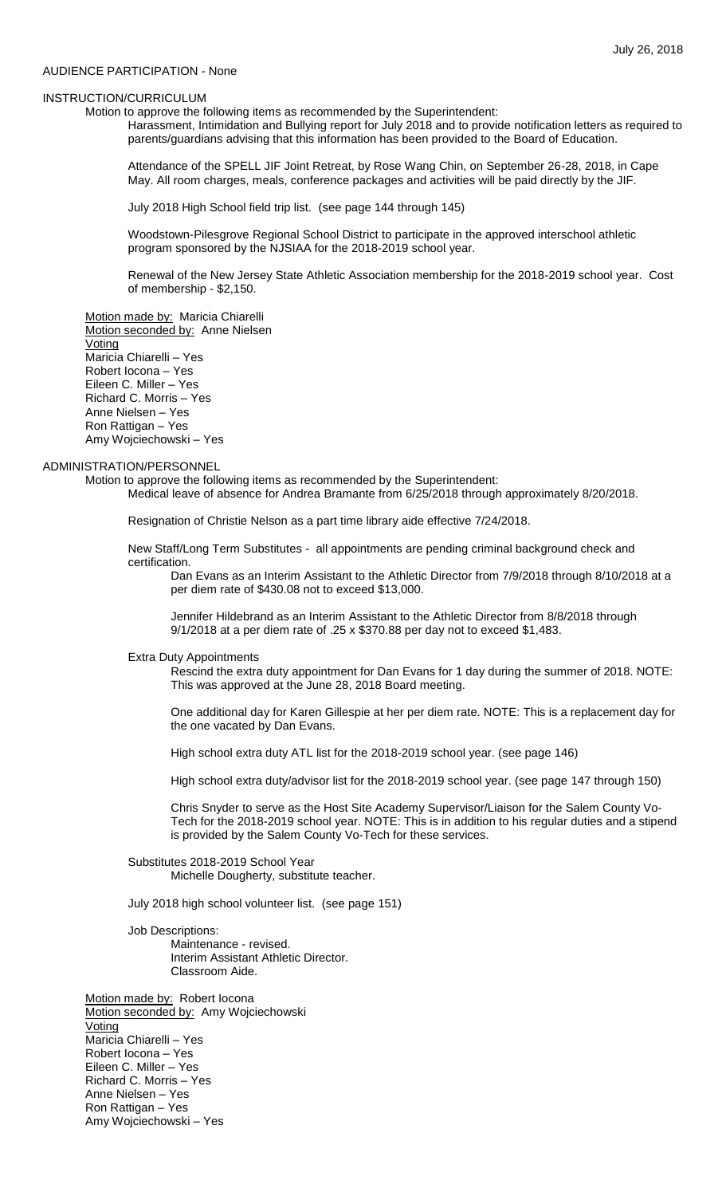## AUDIENCE PARTICIPATION - None

## INSTRUCTION/CURRICULUM

Motion to approve the following items as recommended by the Superintendent:

Harassment, Intimidation and Bullying report for July 2018 and to provide notification letters as required to parents/guardians advising that this information has been provided to the Board of Education.

Attendance of the SPELL JIF Joint Retreat, by Rose Wang Chin, on September 26-28, 2018, in Cape May. All room charges, meals, conference packages and activities will be paid directly by the JIF.

July 2018 High School field trip list. (see page 144 through 145)

Woodstown-Pilesgrove Regional School District to participate in the approved interschool athletic program sponsored by the NJSIAA for the 2018-2019 school year.

Renewal of the New Jersey State Athletic Association membership for the 2018-2019 school year. Cost of membership - \$2,150.

Motion made by: Maricia Chiarelli Motion seconded by: Anne Nielsen Voting Maricia Chiarelli – Yes Robert Iocona – Yes Eileen C. Miller – Yes Richard C. Morris – Yes Anne Nielsen – Yes Ron Rattigan – Yes Amy Wojciechowski – Yes

## ADMINISTRATION/PERSONNEL

Motion to approve the following items as recommended by the Superintendent:

Medical leave of absence for Andrea Bramante from 6/25/2018 through approximately 8/20/2018.

Resignation of Christie Nelson as a part time library aide effective 7/24/2018.

New Staff/Long Term Substitutes - all appointments are pending criminal background check and certification.

Dan Evans as an Interim Assistant to the Athletic Director from 7/9/2018 through 8/10/2018 at a per diem rate of \$430.08 not to exceed \$13,000.

Jennifer Hildebrand as an Interim Assistant to the Athletic Director from 8/8/2018 through 9/1/2018 at a per diem rate of .25 x \$370.88 per day not to exceed \$1,483.

#### Extra Duty Appointments

Rescind the extra duty appointment for Dan Evans for 1 day during the summer of 2018. NOTE: This was approved at the June 28, 2018 Board meeting.

One additional day for Karen Gillespie at her per diem rate. NOTE: This is a replacement day for the one vacated by Dan Evans.

High school extra duty ATL list for the 2018-2019 school year. (see page 146)

High school extra duty/advisor list for the 2018-2019 school year. (see page 147 through 150)

Chris Snyder to serve as the Host Site Academy Supervisor/Liaison for the Salem County Vo-Tech for the 2018-2019 school year. NOTE: This is in addition to his regular duties and a stipend is provided by the Salem County Vo-Tech for these services.

Substitutes 2018-2019 School Year Michelle Dougherty, substitute teacher.

July 2018 high school volunteer list. (see page 151)

# Job Descriptions:

Maintenance - revised. Interim Assistant Athletic Director. Classroom Aide.

Motion made by: Robert locona Motion seconded by: Amy Wojciechowski Voting Maricia Chiarelli – Yes Robert Iocona – Yes Eileen C. Miller – Yes Richard C. Morris – Yes Anne Nielsen – Yes Ron Rattigan – Yes Amy Wojciechowski – Yes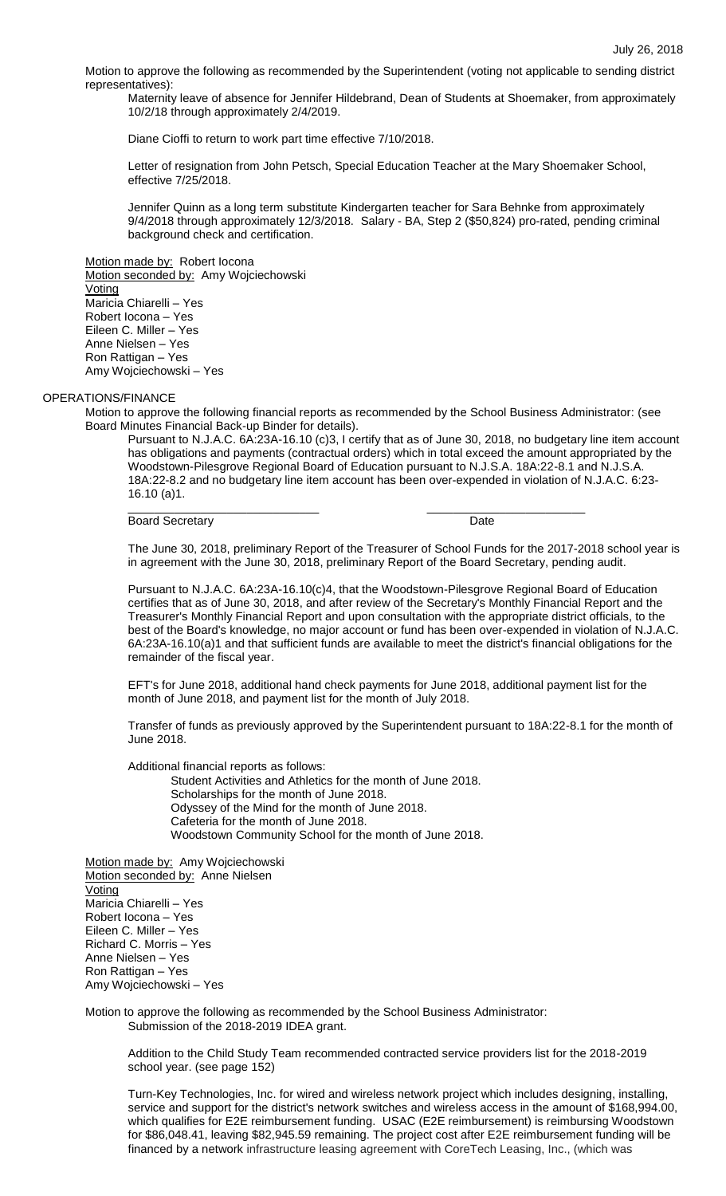Motion to approve the following as recommended by the Superintendent (voting not applicable to sending district representatives):

Maternity leave of absence for Jennifer Hildebrand, Dean of Students at Shoemaker, from approximately 10/2/18 through approximately 2/4/2019.

Diane Cioffi to return to work part time effective 7/10/2018.

Letter of resignation from John Petsch, Special Education Teacher at the Mary Shoemaker School, effective 7/25/2018.

Jennifer Quinn as a long term substitute Kindergarten teacher for Sara Behnke from approximately 9/4/2018 through approximately 12/3/2018. Salary - BA, Step 2 (\$50,824) pro-rated, pending criminal background check and certification.

Motion made by: Robert locona Motion seconded by: Amy Wojciechowski Voting Maricia Chiarelli – Yes Robert Iocona – Yes Eileen C. Miller – Yes Anne Nielsen – Yes Ron Rattigan – Yes Amy Wojciechowski – Yes

## OPERATIONS/FINANCE

Motion to approve the following financial reports as recommended by the School Business Administrator: (see Board Minutes Financial Back-up Binder for details).

\_\_\_\_\_\_\_\_\_\_\_\_\_\_\_\_\_\_\_\_\_\_\_\_\_\_\_\_\_ \_\_\_\_\_\_\_\_\_\_\_\_\_\_\_\_\_\_\_\_\_\_\_\_

Pursuant to N.J.A.C. 6A:23A-16.10 (c)3, I certify that as of June 30, 2018, no budgetary line item account has obligations and payments (contractual orders) which in total exceed the amount appropriated by the Woodstown-Pilesgrove Regional Board of Education pursuant to N.J.S.A. 18A:22-8.1 and N.J.S.A. 18A:22-8.2 and no budgetary line item account has been over-expended in violation of N.J.A.C. 6:23- 16.10 (a)1.

Board Secretary **Date** 

The June 30, 2018, preliminary Report of the Treasurer of School Funds for the 2017-2018 school year is in agreement with the June 30, 2018, preliminary Report of the Board Secretary, pending audit.

Pursuant to N.J.A.C. 6A:23A-16.10(c)4, that the Woodstown-Pilesgrove Regional Board of Education certifies that as of June 30, 2018, and after review of the Secretary's Monthly Financial Report and the Treasurer's Monthly Financial Report and upon consultation with the appropriate district officials, to the best of the Board's knowledge, no major account or fund has been over-expended in violation of N.J.A.C. 6A:23A-16.10(a)1 and that sufficient funds are available to meet the district's financial obligations for the remainder of the fiscal year.

EFT's for June 2018, additional hand check payments for June 2018, additional payment list for the month of June 2018, and payment list for the month of July 2018.

Transfer of funds as previously approved by the Superintendent pursuant to 18A:22-8.1 for the month of June 2018.

Additional financial reports as follows:

Student Activities and Athletics for the month of June 2018. Scholarships for the month of June 2018. Odyssey of the Mind for the month of June 2018. Cafeteria for the month of June 2018. Woodstown Community School for the month of June 2018.

Motion made by: Amy Wojciechowski Motion seconded by: Anne Nielsen **Voting** Maricia Chiarelli – Yes Robert Iocona – Yes Eileen C. Miller – Yes Richard C. Morris – Yes Anne Nielsen – Yes Ron Rattigan – Yes Amy Wojciechowski – Yes

Motion to approve the following as recommended by the School Business Administrator: Submission of the 2018-2019 IDEA grant.

Addition to the Child Study Team recommended contracted service providers list for the 2018-2019 school year. (see page 152)

Turn-Key Technologies, Inc. for wired and wireless network project which includes designing, installing, service and support for the district's network switches and wireless access in the amount of \$168,994.00, which qualifies for E2E reimbursement funding. USAC (E2E reimbursement) is reimbursing Woodstown for \$86,048.41, leaving \$82,945.59 remaining. The project cost after E2E reimbursement funding will be financed by a network infrastructure leasing agreement with CoreTech Leasing, Inc., (which was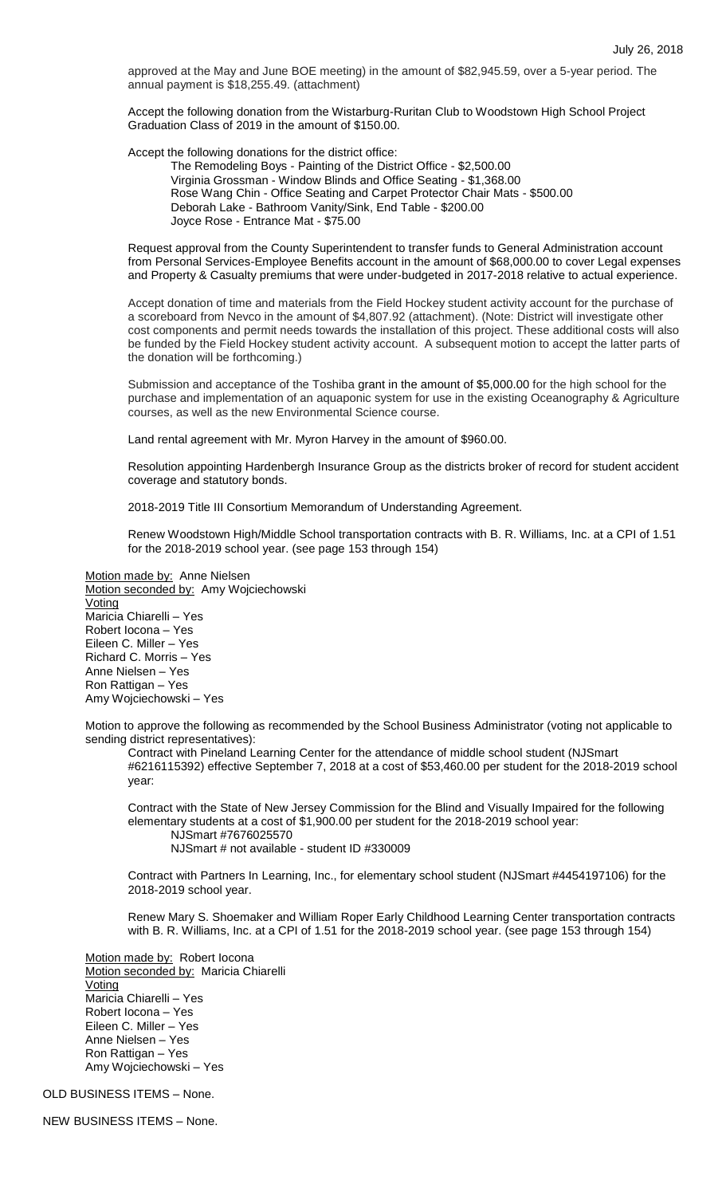approved at the May and June BOE meeting) in the amount of \$82,945.59, over a 5-year period. The annual payment is \$18,255.49. (attachment)

Accept the following donation from the Wistarburg-Ruritan Club to Woodstown High School Project Graduation Class of 2019 in the amount of \$150.00.

Accept the following donations for the district office:

The Remodeling Boys - Painting of the District Office - \$2,500.00 Virginia Grossman - Window Blinds and Office Seating - \$1,368.00 Rose Wang Chin - Office Seating and Carpet Protector Chair Mats - \$500.00 Deborah Lake - Bathroom Vanity/Sink, End Table - \$200.00 Joyce Rose - Entrance Mat - \$75.00

Request approval from the County Superintendent to transfer funds to General Administration account from Personal Services-Employee Benefits account in the amount of \$68,000.00 to cover Legal expenses and Property & Casualty premiums that were under-budgeted in 2017-2018 relative to actual experience.

Accept donation of time and materials from the Field Hockey student activity account for the purchase of a scoreboard from Nevco in the amount of \$4,807.92 (attachment). (Note: District will investigate other cost components and permit needs towards the installation of this project. These additional costs will also be funded by the Field Hockey student activity account. A subsequent motion to accept the latter parts of the donation will be forthcoming.)

Submission and acceptance of the Toshiba grant in the amount of \$5,000.00 for the high school for the purchase and implementation of an aquaponic system for use in the existing Oceanography & Agriculture courses, as well as the new Environmental Science course.

Land rental agreement with Mr. Myron Harvey in the amount of \$960.00.

Resolution appointing Hardenbergh Insurance Group as the districts broker of record for student accident coverage and statutory bonds.

2018-2019 Title III Consortium Memorandum of Understanding Agreement.

Renew Woodstown High/Middle School transportation contracts with B. R. Williams, Inc. at a CPI of 1.51 for the 2018-2019 school year. (see page 153 through 154)

Motion made by: Anne Nielsen Motion seconded by: Amy Wojciechowski Voting Maricia Chiarelli – Yes Robert Iocona – Yes Eileen C. Miller – Yes Richard C. Morris – Yes Anne Nielsen – Yes Ron Rattigan – Yes Amy Wojciechowski – Yes

Motion to approve the following as recommended by the School Business Administrator (voting not applicable to sending district representatives):

Contract with Pineland Learning Center for the attendance of middle school student (NJSmart #6216115392) effective September 7, 2018 at a cost of \$53,460.00 per student for the 2018-2019 school year:

Contract with the State of New Jersey Commission for the Blind and Visually Impaired for the following elementary students at a cost of \$1,900.00 per student for the 2018-2019 school year: NJSmart #7676025570

NJSmart # not available - student ID #330009

Contract with Partners In Learning, Inc., for elementary school student (NJSmart #4454197106) for the 2018-2019 school year.

Renew Mary S. Shoemaker and William Roper Early Childhood Learning Center transportation contracts with B. R. Williams, Inc. at a CPI of 1.51 for the 2018-2019 school year. (see page 153 through 154)

Motion made by: Robert locona Motion seconded by: Maricia Chiarelli **Voting** Maricia Chiarelli – Yes Robert Iocona – Yes Eileen C. Miller – Yes Anne Nielsen – Yes Ron Rattigan – Yes Amy Wojciechowski – Yes

OLD BUSINESS ITEMS – None.

NEW BUSINESS ITEMS – None.